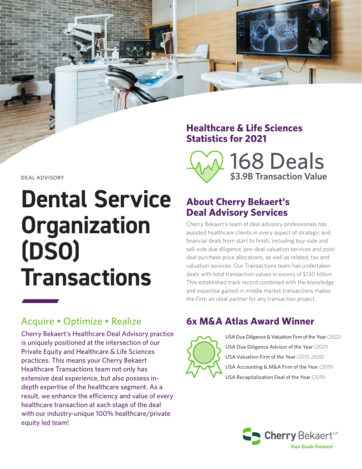#### **Healthcare & Life Sciences Statistics for 2021**



DEAL ADVISORY

# **Dental Service Organization (DSO) Transactions**

Cherry Bekaert's Healthcare Deal Advisory practice is uniquely positioned at the intersection of our Private Equity and Healthcare & Life Sciences practices. This means your Cherry Bekaert Healthcare Transactions team not only has extensive deal experience, but also possess indepth expertise of the healthcare segment. As a result, we enhance the efficiency and value of every healthcare transaction at each stage of the deal with our industry-unique 100% healthcare/private equity led team!

# **About Cherry Bekaert's Deal Advisory Services**

Cherry Bekaert's team of deal advisory professionals has assisted healthcare clients in every aspect of strategic and financial deals from start to finish, including buy-side and sell-side due diligence, pre-deal valuation services and postdeal purchase price allocations, as well as related, tax and valuation services. Our Transactions team has undertaken deals with total transaction values in excess of \$130 billion. This established track record combined with the knowledge and expertise gained in middle market transactions makes the Firm an ideal partner for any transaction project.

# Acquire • Optimize • Realize **6x M&A Atlas Award Winner**



USA Due Diligence & Valuation Firm of the Year *(2022)* USA Due Diligence Advisor of the Year *(2021)* USA Valuation Firm of the Year *(2013, 2020)* USA Accounting & M&A Firm of the Year *(2019)* USA Recapitalization Deal of the Year *(2019)*